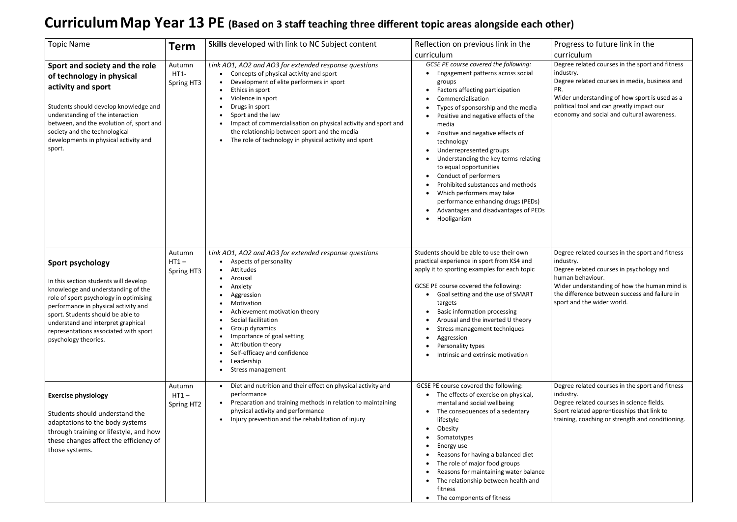## **CurriculumMap Year 13 PE (Based on 3 staff teaching three different topic areas alongside each other)**

Progress to future link in the curriculum Degree related courses in the sport and fitness

industry. Degree related courses in media, business and PR.

Wider understanding of how sport is used as a political tool and can greatly impact our

economy and social and cultural awareness.

| <b>Topic Name</b>                                                                                                                                                                                                                                                                                                                    | <b>Term</b>                     | <b>Skills</b> developed with link to NC Subject content                                                                                                                                                                                                                                                                                                                                                             | Reflection on previous link in the<br>curriculum                                                                                                                                                                                                                                                                                                                                                                                                                                                                                                                                        |
|--------------------------------------------------------------------------------------------------------------------------------------------------------------------------------------------------------------------------------------------------------------------------------------------------------------------------------------|---------------------------------|---------------------------------------------------------------------------------------------------------------------------------------------------------------------------------------------------------------------------------------------------------------------------------------------------------------------------------------------------------------------------------------------------------------------|-----------------------------------------------------------------------------------------------------------------------------------------------------------------------------------------------------------------------------------------------------------------------------------------------------------------------------------------------------------------------------------------------------------------------------------------------------------------------------------------------------------------------------------------------------------------------------------------|
| Sport and society and the role<br>of technology in physical<br>activity and sport<br>Students should develop knowledge and<br>understanding of the interaction<br>between, and the evolution of, sport and<br>society and the technological<br>developments in physical activity and<br>sport.                                       | Autumn<br>HT1-<br>Spring HT3    | Link AO1, AO2 and AO3 for extended response questions<br>Concepts of physical activity and sport<br>$\bullet$<br>Development of elite performers in sport<br>Ethics in sport<br>Violence in sport<br>Drugs in sport<br>Sport and the law<br>Impact of commercialisation on physical activity and sport and<br>the relationship between sport and the media<br>The role of technology in physical activity and sport | GCSE PE course covered the following:<br>Engagement patterns across social<br>groups<br>Factors affecting participation<br>Commercialisation<br>Types of sponsorship and the media<br>Positive and negative effects of the<br>media<br>Positive and negative effects of<br>$\bullet$<br>technology<br>Underrepresented groups<br>Understanding the key terms relating<br>to equal opportunities<br>Conduct of performers<br>Prohibited substances and methods<br>Which performers may take<br>performance enhancing drugs (PEDs)<br>Advantages and disadvantages of PEDs<br>Hooliganism |
| <b>Sport psychology</b><br>In this section students will develop<br>knowledge and understanding of the<br>role of sport psychology in optimising<br>performance in physical activity and<br>sport. Students should be able to<br>understand and interpret graphical<br>representations associated with sport<br>psychology theories. | Autumn<br>$HT1 -$<br>Spring HT3 | Link AO1, AO2 and AO3 for extended response questions<br>Aspects of personality<br>Attitudes<br>Arousal<br>Anxiety<br>Aggression<br>Motivation<br>Achievement motivation theory<br>Social facilitation<br>Group dynamics<br>Importance of goal setting<br>Attribution theory<br>Self-efficacy and confidence<br>Leadership<br>Stress management                                                                     | Students should be able to use their own<br>practical experience in sport from KS4 and<br>apply it to sporting examples for each topic<br>GCSE PE course covered the following:<br>Goal setting and the use of SMART<br>targets<br><b>Basic information processing</b><br>Arousal and the inverted U theory<br>Stress management techniques<br>Aggression<br>Personality types<br>Intrinsic and extrinsic motivation                                                                                                                                                                    |
| <b>Exercise physiology</b><br>Students should understand the<br>adaptations to the body systems<br>through training or lifestyle, and how<br>these changes affect the efficiency of<br>those systems.                                                                                                                                | Autumn<br>$HT1-$<br>Spring HT2  | Diet and nutrition and their effect on physical activity and<br>$\bullet$<br>performance<br>Preparation and training methods in relation to maintaining<br>physical activity and performance<br>Injury prevention and the rehabilitation of injury                                                                                                                                                                  | GCSE PE course covered the following:<br>The effects of exercise on physical,<br>mental and social wellbeing<br>The consequences of a sedentary<br>lifestyle<br>Obesity<br>Somatotypes<br>Energy use<br>Reasons for having a balanced diet<br>The role of major food groups<br>Reasons for maintaining water balance<br>The relationship between health and<br>fitness<br>The components of fitness                                                                                                                                                                                     |

Degree related courses in the sport and fitness industry.

Degree related courses in psychology and human behaviour.

Wider understanding of how the human mind is the difference between success and failure in sport and the wider world.

Degree related courses in the sport and fitness industry.

Degree related courses in science fields.

Sport related apprenticeships that link to

training, coaching or strength and conditioning.